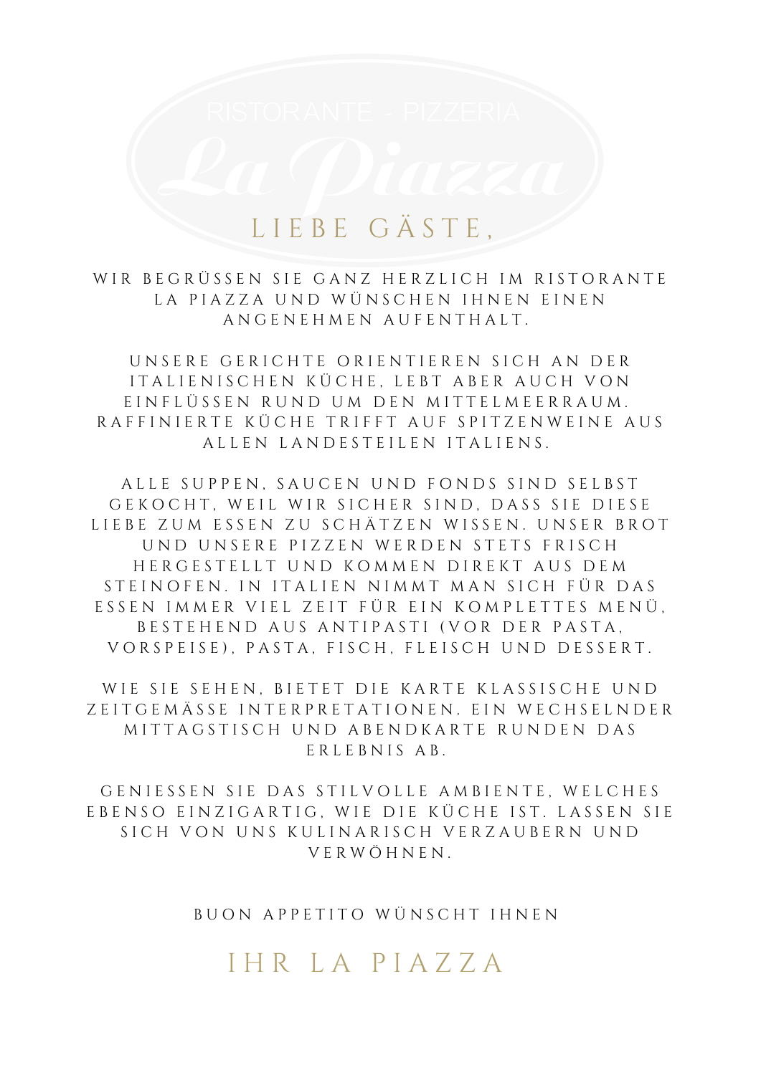### L I E B E G Ä S T E,

WIR BEGRÜSSEN SIE GANZ HERZLICH IM RISTORANTE LA PIAZZA UND WÜNSCHEN IHNEN EINEN A N G E N E H M E N A U F E N T H A L T .

UNSERE GERICHTE ORIENTIEREN SICH AN DER ITALIENISCHEN KÜCHE, LEBT ABER AUCH VON E I N F L Ü S S E N R U N D U M D E N M I T T E L M E E R R A U M . R A F F I N I E R T E K Ü C H E T R I F F T A U F S P I T Z E N W E I N E A U S A L L E N L A N D E STEILEN ITALIENS.

ALLE SUPPEN, SAUCEN UND FONDS SIND SELBST GEKOCHT, WEIL WIR SICHER SIND. DASS SIE DIESE LIEBE ZUM ESSEN ZU SCHÄTZEN WISSEN. UNSER BROT UND UNSERE PIZZEN WERDEN STETS FRISCH HERGESTELLT UND KOMMEN DIREKT AUS DEM STEINOFEN. IN ITALIEN NIMMT MAN SICH FÜR DAS ESSEN IMMER VIEL ZEIT FÜR EIN KOMPLETTES MENÜ, BESTEHEND AUS ANTIPASTI (VOR DER PASTA, VORSPEISE), PASTA, FISCH, FLEISCH UND DESSERT.

WIE SIE SEHEN, BIETET DIE KARTE KLASSISCHE UND Z E I T G E M Ä S S E I N T E R P R E T A T I O N E N . E I N W E C H S E L N D E R MITTAGSTISCH UND ABENDKARTE RUNDEN DAS E R L E B N I S A B.

GENIESSEN SIE DAS STILVOLLE AMBIENTE. WELCHES EBENSO EINZIGARTIG, WIE DIE KÜCHE IST. LASSEN SIE SICH VON UNS KULINARISCH VERZAUBERN UND V E R W Ö H N E N .

BUON APPETITO WÜNSCHT IHNEN

I H R L A P I A Z Z A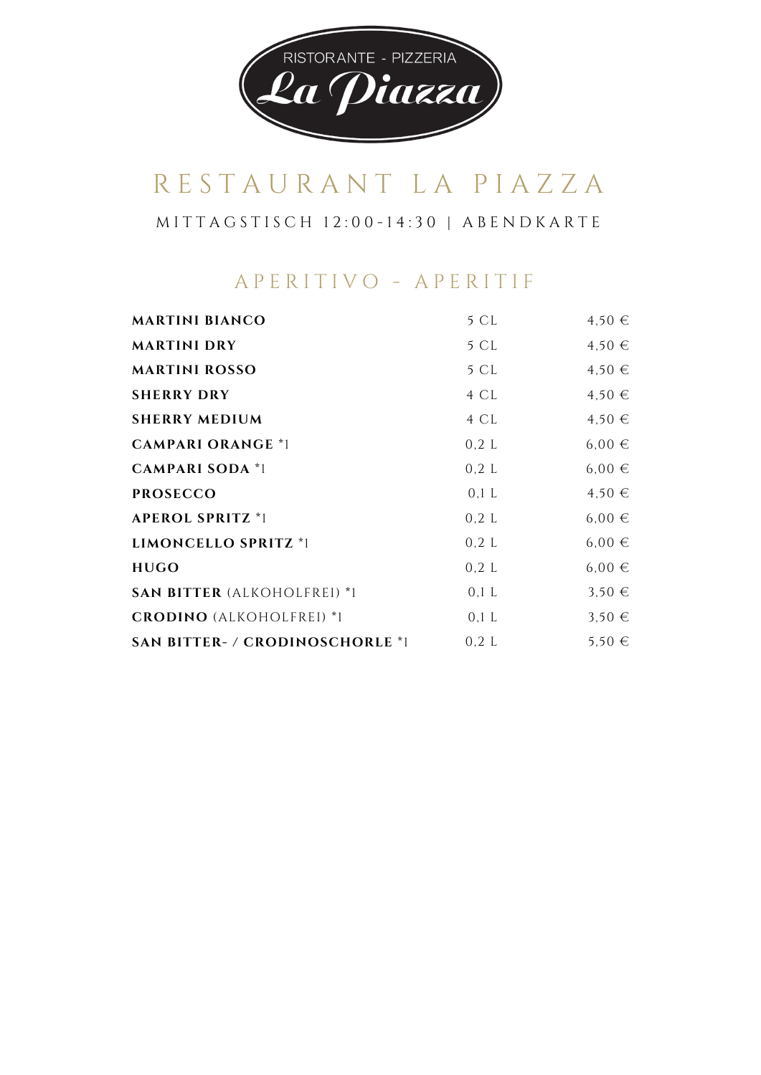

M I T T A G S T I S C H 1 2 : 0 0 - 1 4 : 3 0 | A B E N D K A R T E

#### A P E R I T I V O - A P E R I T I F

| <b>MARTINI BIANCO</b>                  | 5 CL    | $4,50 \in$ |
|----------------------------------------|---------|------------|
| <b>MARTINI DRY</b>                     | 5 CL    | 4,50€      |
| <b>MARTINI ROSSO</b>                   | 5 CL    | $4,50 \in$ |
| <b>SHERRY DRY</b>                      | 4 CL    | 4,50€      |
| <b>SHERRY MEDIUM</b>                   | 4 CL    | 4,50€      |
| <b>CAMPARI ORANGE *1</b>               | 0,2 L   | $6,00 \in$ |
| <b>CAMPARI SODA *1</b>                 | 0,2 L   | $6,00 \in$ |
| <b>PROSECCO</b>                        | $0,1$ L | 4,50€      |
| <b>APEROL SPRITZ *1</b>                | 0,2 L   | $6,00 \in$ |
| LIMONCELLO SPRITZ *1                   | 0,2 L   | $6,00 \in$ |
| <b>HUGO</b>                            | 0,2 L   | $6,00 \in$ |
| <b>SAN BITTER (ALKOHOLFREI) *1</b>     | $0,1$ L | $3,50 \in$ |
| <b>CRODINO</b> (ALKOHOLFREI) *1        | $0,1$ L | $3,50 \in$ |
| <b>SAN BITTER- / CRODINOSCHORLE *1</b> | 0,2 L   | $5.50 \in$ |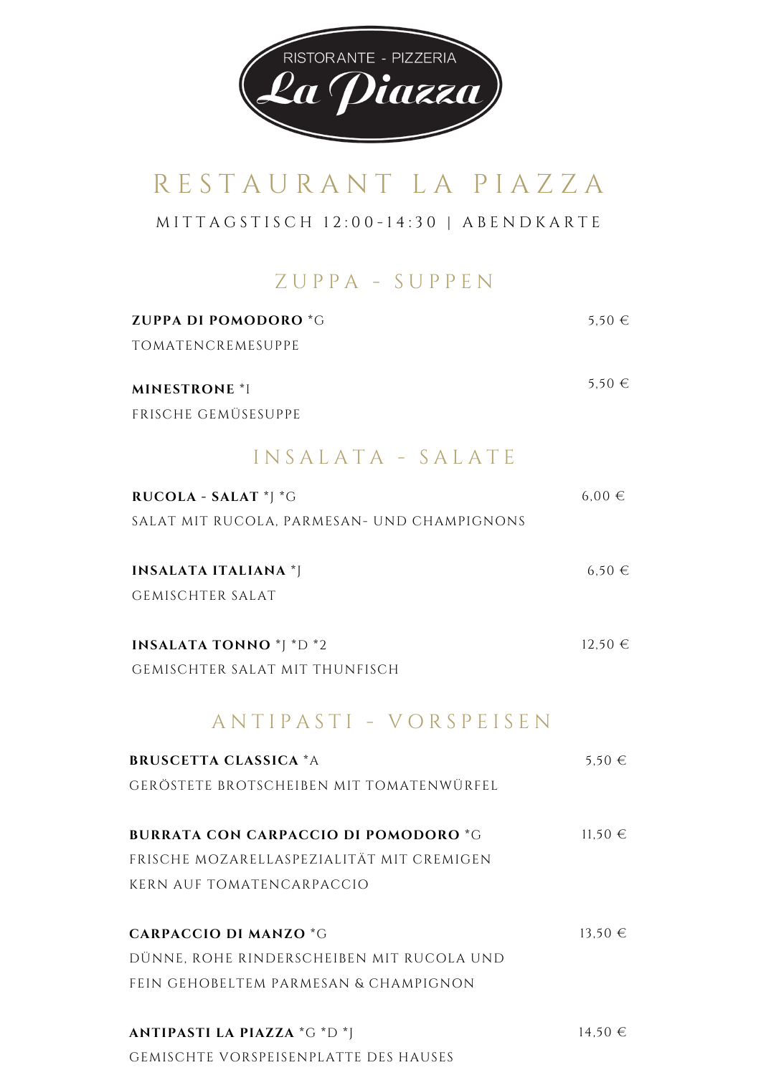

M I T T A G S T I S C H 1 2 : 0 0 - 1 4 : 3 0 | A B E N D K A R T E

#### Z U P P A - S U P P E N

| <b>ZUPPA DI POMODORO *G</b> | 5.50 $∈$ |
|-----------------------------|----------|
| TOMATENCREMESUPPE           |          |
| <b>MINESTRONE *I</b>        | 5.50 $∈$ |
| FRISCHE GEMÜSESUPPE         |          |

### I N S A L A T A - S A L A T E

| RUCOLA - SALAT *J *G                        | $6.00 \in$  |
|---------------------------------------------|-------------|
| SALAT MIT RUCOLA, PARMESAN- UND CHAMPIGNONS |             |
| <b>INSALATA ITALIANA*</b>                   | $6.50 \in$  |
| <b>GEMISCHTER SALAT</b>                     |             |
| <b>INSALATA TONNO</b> *J *D *2              | $12,50$ €   |
| GEMISCHTER SALAT MIT THUNFISCH              |             |
| ANTIPASTI - VORSPEISEN                      |             |
| <b>BRUSCETTA CLASSICA *A</b>                | $5.50 \in$  |
| GERÖSTETE BROTSCHEIBEN MIT TOMATENWÜRFEL    |             |
| <b>BURRATA CON CARPACCIO DI POMODORO*G</b>  | $11,50$ €   |
| FRISCHE MOZARELLASPEZIALITÄT MIT CREMIGEN   |             |
| <b>KERN AUF TOMATENCARPACCIO</b>            |             |
| <b>CARPACCIO DI MANZO *G</b>                | $13,50 \in$ |
| DÜNNE, ROHE RINDERSCHEIBEN MIT RUCOLA UND   |             |
| FEIN GEHOBELTEM PARMESAN & CHAMPIGNON       |             |
| <b>ANTIPASTI LA PIAZZA *G *D *J</b>         | 14,50€      |
| GEMISCHTE VORSPEISENPLATTE DES HAUSES       |             |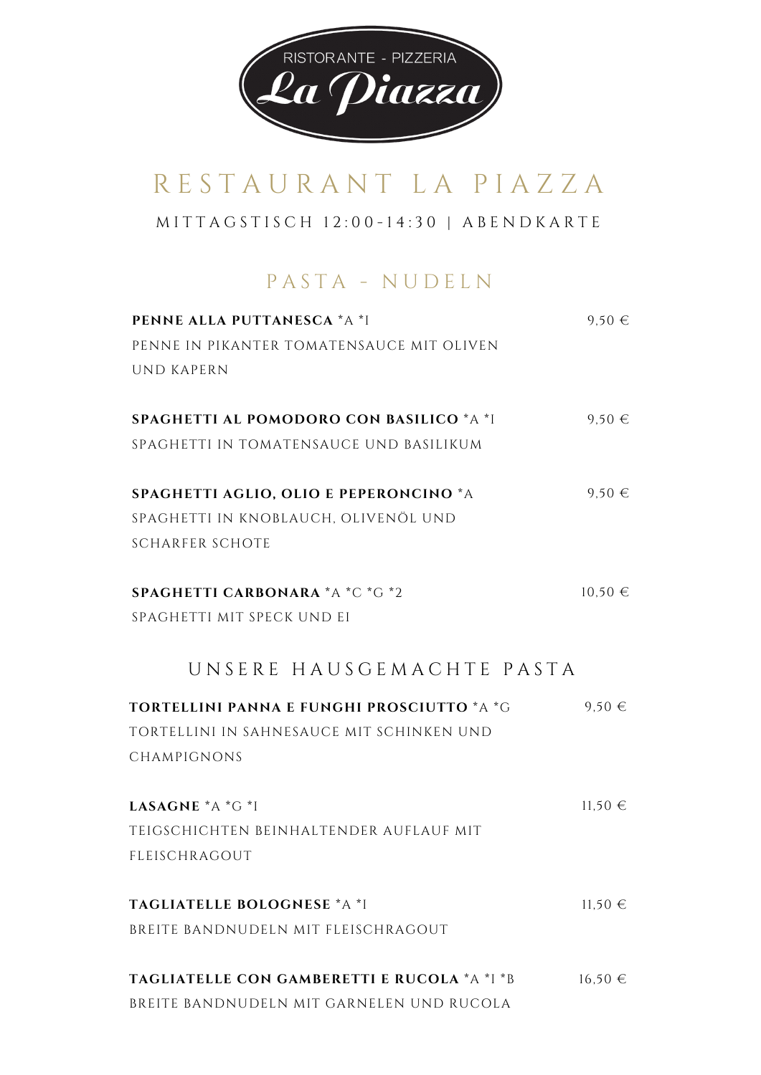

M I T T A G S T I S C H 1 2 : 0 0 - 1 4 : 3 0 | A B E N D K A R T E

### PASTA - NUDELN

| <b>PENNE ALLA PUTTANESCA *A *I</b>           | $9.50 \in$  |
|----------------------------------------------|-------------|
| PENNE IN PIKANTER TOMATENSAUCE MIT OLIVEN    |             |
| <b>UND KAPERN</b>                            |             |
| SPAGHETTI AL POMODORO CON BASILICO *A *I     | $9,50 \in$  |
| SPAGHETTI IN TOMATENSAUCE UND BASILIKUM      |             |
| SPAGHETTI AGLIO, OLIO E PEPERONCINO *A       | $9,50 \in$  |
| SPAGHETTI IN KNOBLAUCH, OLIVENÖL UND         |             |
| <b>SCHARFER SCHOTE</b>                       |             |
| <b>SPAGHETTI CARBONARA *A *C *G *2</b>       | $10,50 \in$ |
| SPAGHETTI MIT SPECK UND EI                   |             |
| UNSERE HAUSGEMACHTE PASTA                    |             |
| TORTELLINI PANNA E FUNGHI PROSCIUTTO *A *G   | $9.50 \in$  |
| TORTELLINI IN SAHNESAUCE MIT SCHINKEN UND    |             |
| CHAMPIGNONS                                  |             |
| LASAGNE $A^*$ G $*$ I                        | $11,50$ €   |
| TEIGSCHICHTEN BEINHALTENDER AUFLAUF MIT      |             |
| FLEISCHRAGOUT                                |             |
| TAGLIATELLE BOLOGNESE *A *I                  | $11,50 \in$ |
| BREITE BANDNUDELN MIT FLEISCHRAGOUT          |             |
| TAGLIATELLE CON GAMBERETTI E RUCOLA *A *I *B | $16,50 \in$ |
| BREITE BANDNUDELN MIT GARNELEN UND RUCOLA    |             |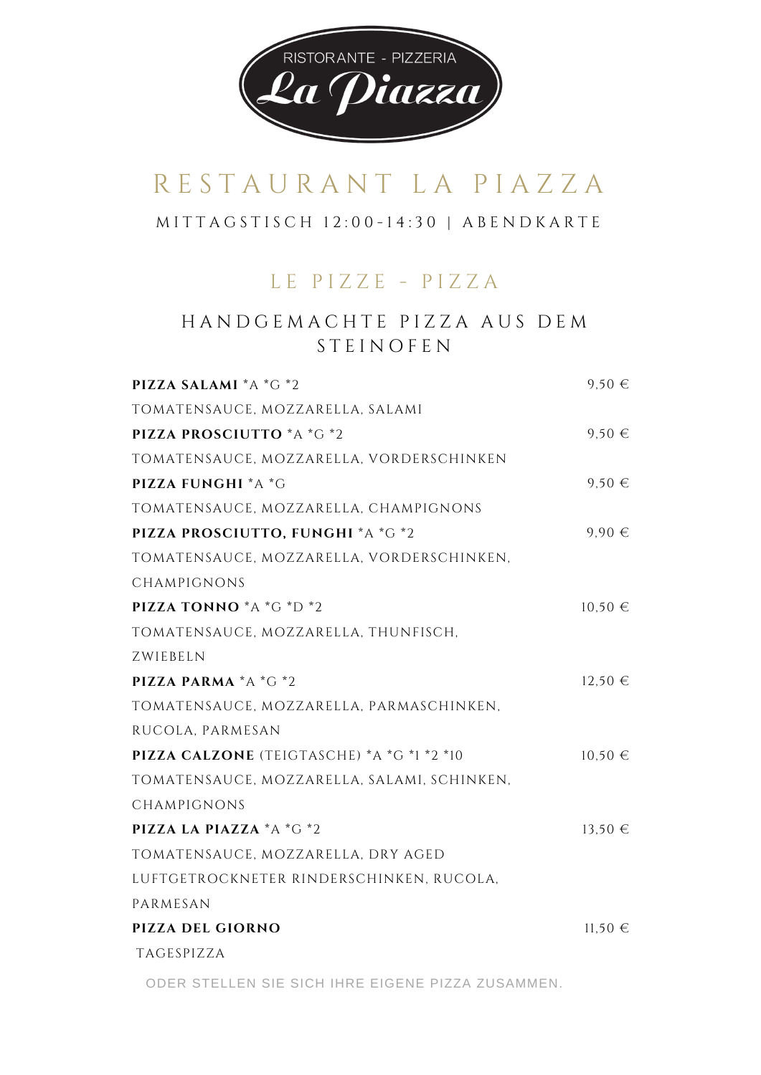

#### M I T T A G S T I S C H 1 2 : 0 0 - 1 4 : 3 0 | A B E N D K A R T E

#### L E P I Z Z E - P I Z Z A

#### H A N D G E M A C H T E P I Z Z A A U S D E M **STEINOFEN**

| PIZZA SALAMI *A *G *2                             | $9,50 \in$  |
|---------------------------------------------------|-------------|
| TOMATENSAUCE, MOZZARELLA, SALAMI                  |             |
| PIZZA PROSCIUTTO *A *G *2                         | $9,50 \in$  |
| TOMATENSAUCE, MOZZARELLA, VORDERSCHINKEN          |             |
| <b>PIZZA FUNGHI *A *G</b>                         | $9.50 \in$  |
| TOMATENSAUCE, MOZZARELLA, CHAMPIGNONS             |             |
| PIZZA PROSCIUTTO, FUNGHI *A *G *2                 | $9,90 \in$  |
| TOMATENSAUCE, MOZZARELLA, VORDERSCHINKEN,         |             |
| CHAMPIGNONS                                       |             |
| PIZZA TONNO *A *G *D *2                           | $10,50 \in$ |
| TOMATENSAUCE, MOZZARELLA, THUNFISCH,              |             |
| ZWIEBELN                                          |             |
| PIZZA PARMA *A *G *2                              | $12,50 \in$ |
| TOMATENSAUCE, MOZZARELLA, PARMASCHINKEN,          |             |
| RUCOLA, PARMESAN                                  |             |
| PIZZA CALZONE (TEIGTASCHE) *A *G *1 *2 *10        | $10,50 \in$ |
| TOMATENSAUCE, MOZZARELLA, SALAMI, SCHINKEN,       |             |
| CHAMPIGNONS                                       |             |
| PIZZA LA PIAZZA *A *G *2                          | $13,50 \in$ |
| TOMATENSAUCE, MOZZARELLA, DRY AGED                |             |
| LUFTGETROCKNETER RINDERSCHINKEN, RUCOLA,          |             |
| PARMESAN                                          |             |
| <b>PIZZA DEL GIORNO</b>                           | $11,50$ €   |
| TAGESPIZZA                                        |             |
| ODER STELLEN SIE SICH IHRE EIGENE PIZZA ZUSAMMEN. |             |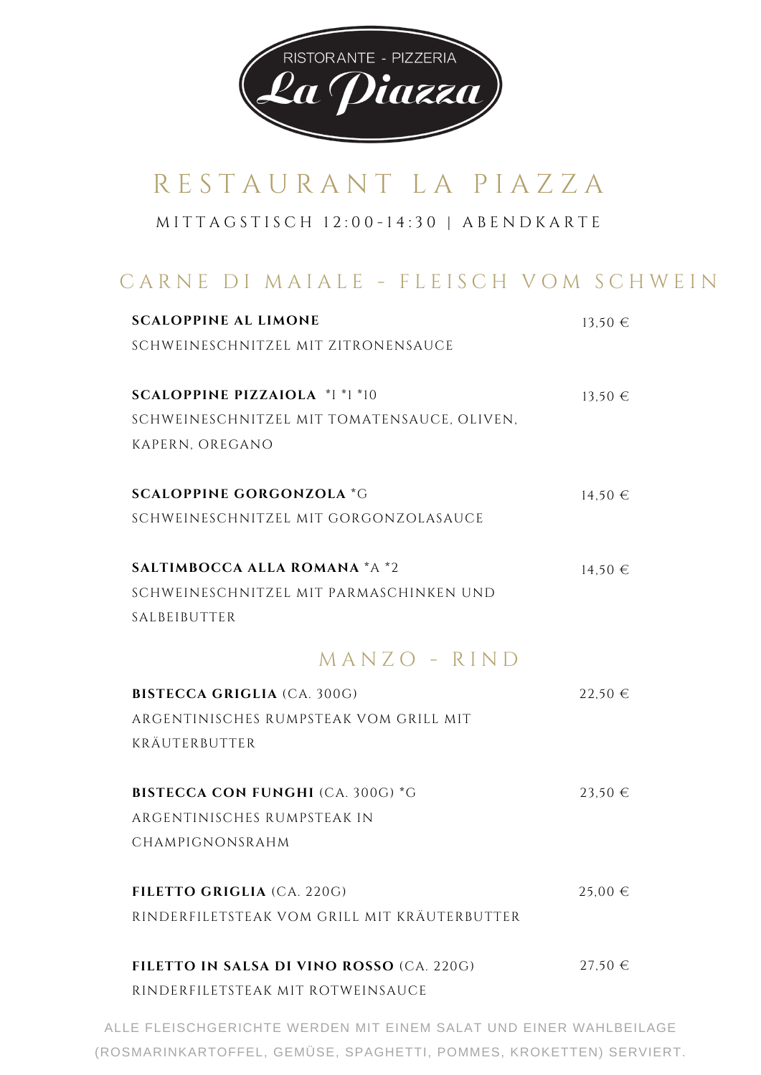

M I T T A G S T I S C H 1 2 : 0 0 - 1 4 : 3 0 | A B E N D K A R T E

### CARNE DI MAIALE - FLEISCH VOM SCHWEIN

| <b>SCALOPPINE AL LIMONE</b>                  | $13,50 \in$ |
|----------------------------------------------|-------------|
| SCHWEINESCHNITZEL MIT ZITRONENSAUCE          |             |
| <b>SCALOPPINE PIZZAIOLA *I *1 *10</b>        |             |
|                                              | $13,50 \in$ |
| SCHWEINESCHNITZEL MIT TOMATENSAUCE, OLIVEN,  |             |
| KAPERN, OREGANO                              |             |
| <b>SCALOPPINE GORGONZOLA *G</b>              | $14,50 \in$ |
| SCHWEINESCHNITZEL MIT GORGONZOLASAUCE        |             |
|                                              |             |
| SALTIMBOCCA ALLA ROMANA *A *2                | $14,50 \in$ |
| SCHWEINESCHNITZEL MIT PARMASCHINKEN UND      |             |
| SALBEIBUTTER                                 |             |
| MANZO - RIND                                 |             |
| <b>BISTECCA GRIGLIA (CA. 300G)</b>           | 22,50€      |
| ARGENTINISCHES RUMPSTEAK VOM GRILL MIT       |             |
| KRÄUTERBUTTER                                |             |
| <b>BISTECCA CON FUNGHI (CA. 300G) *G</b>     | $23,50 \in$ |
| ARGENTINISCHES RUMPSTEAK IN                  |             |
|                                              |             |
| CHAMPIGNONSRAHM                              |             |
| FILETTO GRIGLIA (CA. 220G)                   | $25,00 \in$ |
| RINDERFILETSTEAK VOM GRILL MIT KRÄUTERBUTTER |             |
| FILETTO IN SALSA DI VINO ROSSO (CA. 220G)    | $27,50 \in$ |
|                                              |             |
| RINDERFILETSTEAK MIT ROTWEINSAUCE            |             |

ALLE FLEISCHGERICHTE WERDEN MIT EINEM SALAT UND EINER WAHLBEILAGE (ROSMARINKARTOFFEL, GEMÜSE, SPAGHETTI, POMMES, KROKETTEN) SERVIERT.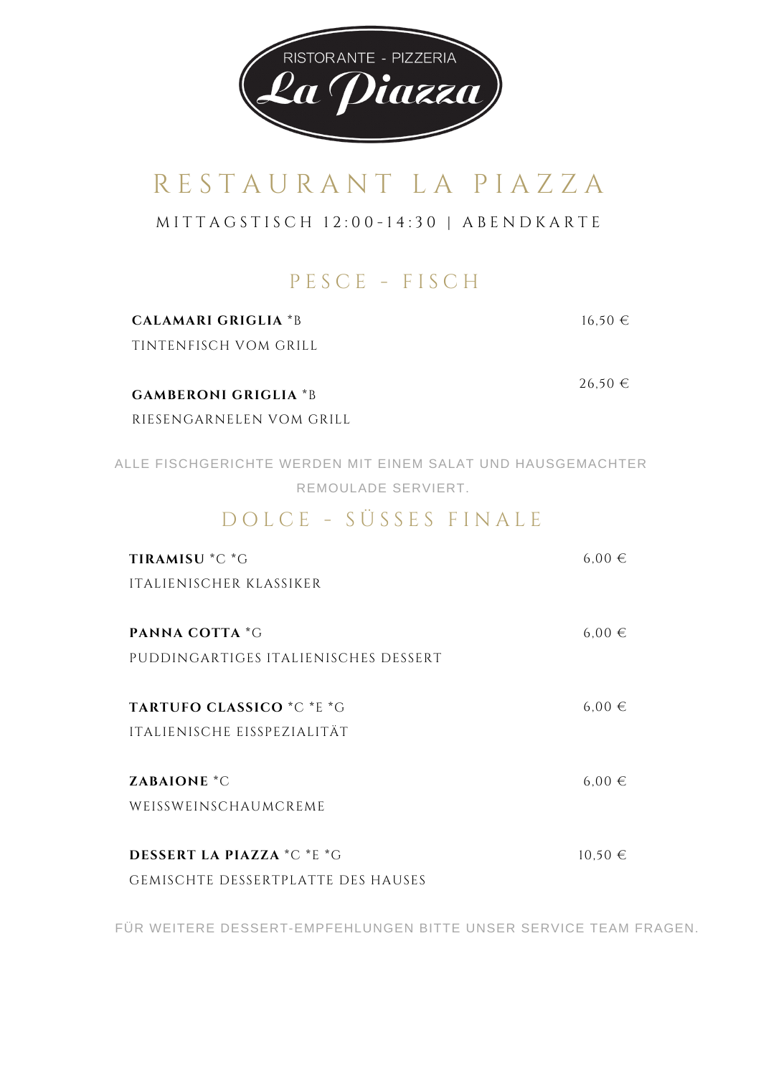

M I T T A G S T I S C H 1 2 : 0 0 - 1 4 : 3 0 | A B E N D K A R T E

### P E S C E - F I S C H

| <b>CALAMARI GRIGLIA *B</b>                                                         | $16,50 \in$ |
|------------------------------------------------------------------------------------|-------------|
| TINTENFISCH VOM GRILL                                                              |             |
| <b>GAMBERONI GRIGLIA *B</b>                                                        | 26,50€      |
| RIESENGARNELEN VOM GRILL                                                           |             |
| ALLE FISCHGERICHTE WERDEN MIT EINEM SALAT UND HAUSGEMACHTER<br>REMOULADE SERVIERT. |             |
| DOLCE - SÜSSES FINALE                                                              |             |
| TIRAMISU *C *G                                                                     | $6.00 \in$  |
| <b>ITALIENISCHER KLASSIKER</b>                                                     |             |
| PANNA COTTA *G                                                                     | $6,00 \in$  |
| PUDDINGARTIGES ITALIENISCHES DESSERT                                               |             |
| TARTUFO CLASSICO *C *E *G                                                          | $6,00 \in$  |
| ITALIENISCHE EISSPEZIALITÄT                                                        |             |
| <b>ZABAIONE</b> *C                                                                 | $6,00 \in$  |
| WEISSWEINSCHAUMCREME                                                               |             |
| <b>DESSERT LA PIAZZA *C *E *G</b>                                                  | $10,50 \in$ |
| <b>GEMISCHTE DESSERTPLATTE DES HAUSES</b>                                          |             |

FÜR WEITERE DESSERT-EMPFEHLUNGEN BITTE UNSER SERVICE TEAM FRAGEN.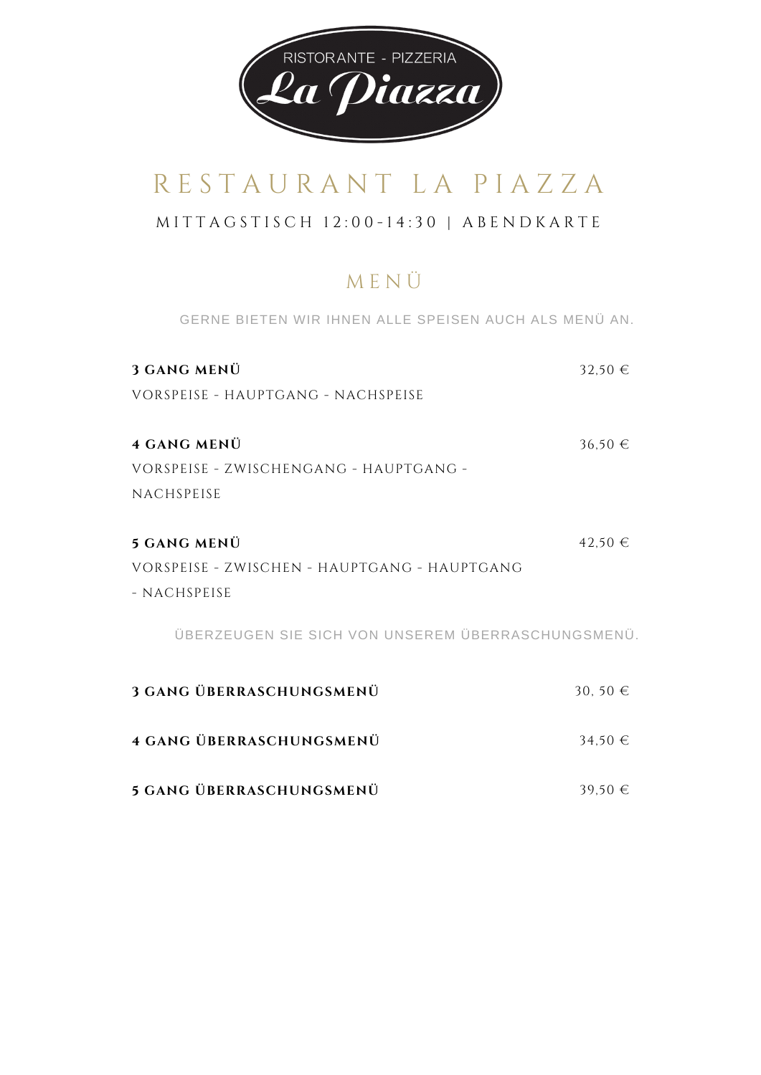

#### M I T T A G S T I S C H 1 2 : 0 0 - 1 4 : 3 0 | A B E N D K A R T E

### M E N Ü

GERNE BIETEN WIR IHNEN ALLE SPEISEN AUCH ALS MENÜ AN.

| 3 GANG MENÜ                                        | $32,50 \in$ |
|----------------------------------------------------|-------------|
| VORSPEISE - HAUPTGANG - NACHSPEISE                 |             |
|                                                    |             |
| 4 GANG MENÜ                                        | $36,50 \in$ |
| VORSPEISE - ZWISCHENGANG - HAUPTGANG -             |             |
| NACHSPEISE                                         |             |
|                                                    |             |
| <b>5 GANG MENÜ</b>                                 | 42,50€      |
| VORSPEISE - ZWISCHEN - HAUPTGANG - HAUPTGANG       |             |
| - NACHSPEISE                                       |             |
| ÜBERZEUGEN SIE SICH VON UNSEREM ÜBERRASCHUNGSMENÜ. |             |
| <b>3 GANG ÜBERRASCHUNGSMENÜ</b>                    | 30, 50 €    |
| <b>4 GANG ÜBERRASCHUNGSMENÜ</b>                    | $34,50 \in$ |

**5 GANG ÜBERRASCHUNGSMENÜ** 39,50 €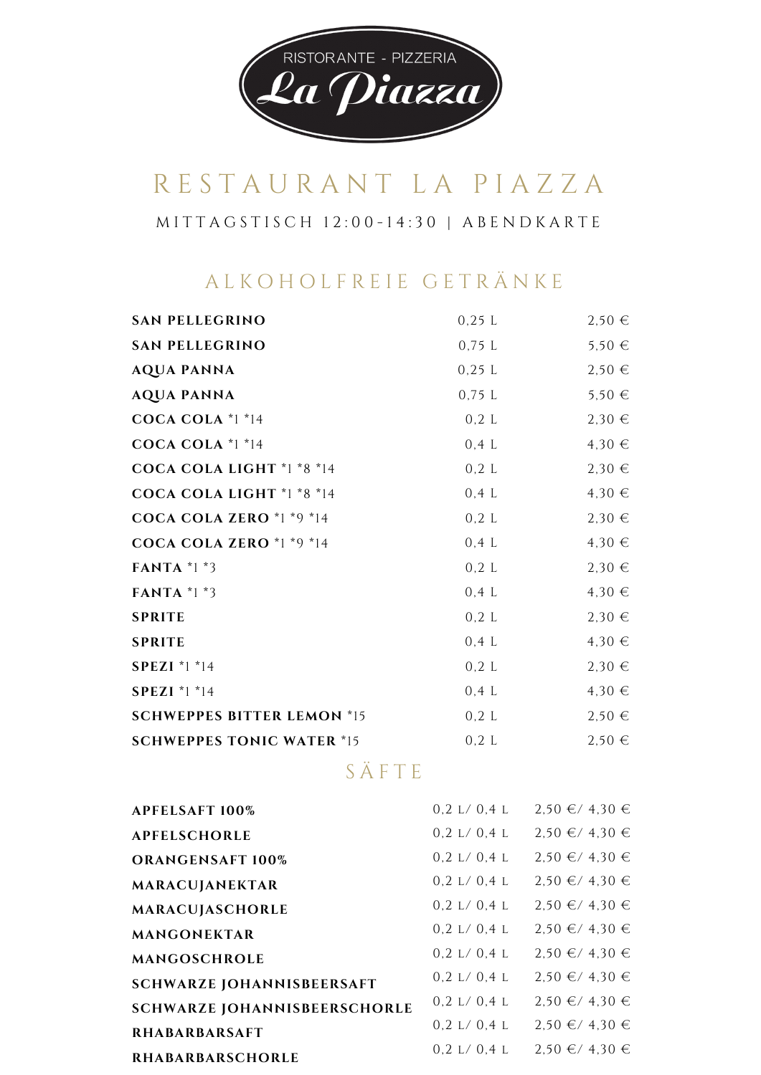

M I T T A G S T I S C H 1 2 : 0 0 - 1 4 : 3 0 | A B E N D K A R T E

### A L K O H O L F R E I E G E T R Ä N K E

| $0,25$ L | 2,50€      |
|----------|------------|
| $0,75$ L | $5,50 \in$ |
| 0,25 L   | $2,50 \in$ |
| $0,75$ L | $5,50 \in$ |
| 0,2 L    | $2,30 \in$ |
| 0,4 L    | 4,30€      |
| 0,2 L    | $2,30 \in$ |
| 0,4 L    | 4,30€      |
| 0,2 L    | $2,30 \in$ |
| 0,4 L    | 4,30€      |
| 0,2 L    | $2,30 \in$ |
| $0,4$ L  | 4,30€      |
| 0,2 L    | $2,30$ €   |
| $0,4$ L  | 4,30€      |
| 0,2 L    | 2,30€      |
| $0,4$ L  | 4,30€      |
| 0,2 L    | $2,50 \in$ |
| 0,2 L    | 2,50€      |
|          |            |

### S Ä F T E

| <b>APFELSAFT 100%</b>               | 0.2 L/ 0.4 L | $2,50 \in 74,30 \in$ |
|-------------------------------------|--------------|----------------------|
| <b>APFELSCHORLE</b>                 | 0.2 L/ 0.4 L | $2,50 \in 74,30 \in$ |
| <b>ORANGENSAFT 100%</b>             | 0.2 L/ 0.4 L | $2,50 \in 74,30 \in$ |
| MARACUJANEKTAR                      | 0.2 L/ 0.4 L | $2,50 \in 74,30 \in$ |
| MARACUJASCHORLE                     | 0.2 L/0.4 L  | $2,50 \in 74,30 \in$ |
| MANGONEKTAR                         | 0,2 L/0,4 L  | $2.50 \in 74.30 \in$ |
| MANGOSCHROLE                        | 0.2 L/ 0.4 L | $2,50 \in 74,30 \in$ |
| <b>SCHWARZE JOHANNISBEERSAFT</b>    | 0,2 L/0,4 L  | $2,50 \in 74,30 \in$ |
| <b>SCHWARZE JOHANNISBEERSCHORLE</b> | 0.2 L/ 0.4 L | $2,50 \in 74,30 \in$ |
| <b>RHABARBARSAFT</b>                | 0.2 L/ 0.4 L | $2,50 \in 74,30 \in$ |
| <b>RHABARBARSCHORLE</b>             | 0.2 L/ 0.4 L | $2,50 \in 74,30 \in$ |
|                                     |              |                      |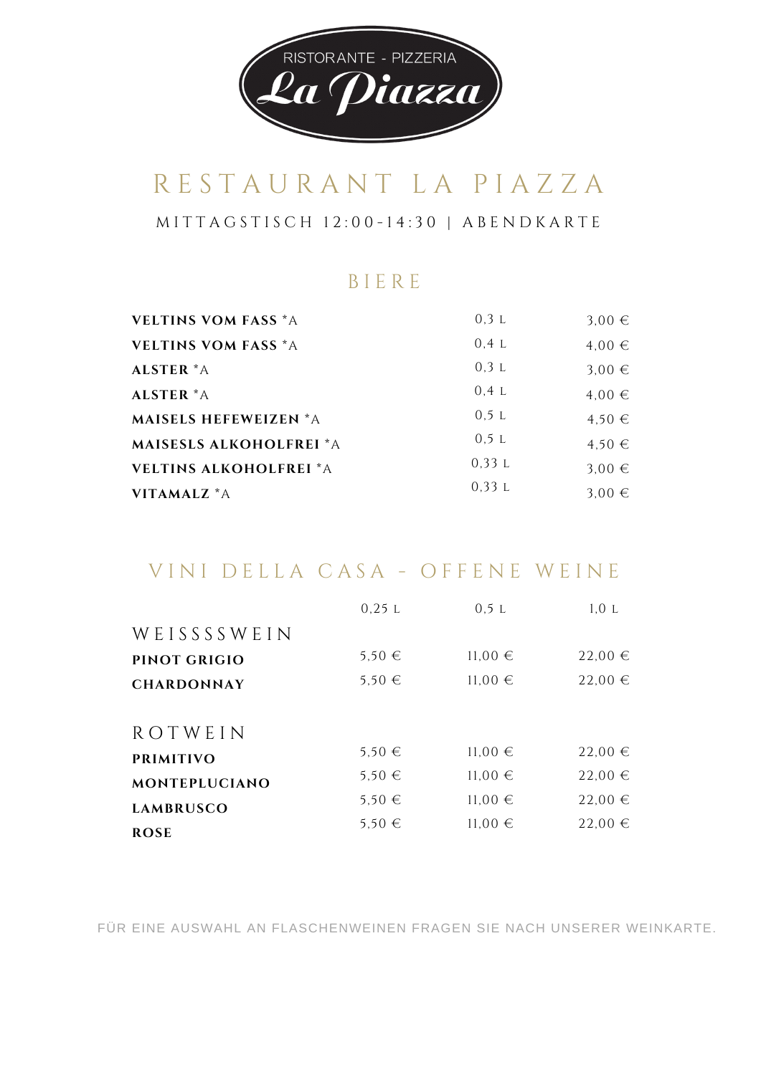

M I T T A G S T I S C H 1 2 : 0 0 - 1 4 : 3 0 | A B E N D K A R T E

#### B I E R E

| <b>VELTINS VOM FASS *A</b>     | 0,3 L | $3,00 \in$ |
|--------------------------------|-------|------------|
| <b>VELTINS VOM FASS *A</b>     | 0.4 L | 4,00€      |
| ALSTER *A                      | 0.3L  | $3,00 \in$ |
| ALSTER *A                      | 0.4 L | $4.00 \in$ |
| <b>MAISELS HEFEWEIZEN *A</b>   | 0.5 L | $4.50 \in$ |
| <b>MAISESLS ALKOHOLFREI *A</b> | 0.5 L | $4,50 \in$ |
| <b>VELTINS ALKOHOLFREI *A</b>  | 0.33L | 3,00 $\in$ |
| VITAMALZ *A                    | 0.33L | 3.00 $\in$ |

### VINI DELLA CASA - OFFENE WEINE

|                      | 0.25 L     | 0,5 L       | 1,0 L       |
|----------------------|------------|-------------|-------------|
| WEISSSSWEIN          |            |             |             |
| PINOT GRIGIO         | $5,50 \in$ | $11,00$ €   | $22,00$ €   |
| <b>CHARDONNAY</b>    | 5,50 €     | $11,00$ €   | $22,00 \in$ |
| ROTWEIN              |            |             |             |
| <b>PRIMITIVO</b>     | $5.50 \in$ | $11,00 \in$ | $22,00$ €   |
| <b>MONTEPLUCIANO</b> | $5.50 \in$ | $11,00 \in$ | $22,00$ €   |
| <b>LAMBRUSCO</b>     | $5.50 \in$ | $11,00$ €   | $22,00 \in$ |
| <b>ROSE</b>          | 5,50 €     | $11,00$ €   | $22,00 \in$ |

FÜR EINE AUSWAHL AN FLASCHENWEINEN FRAGEN SIE NACH UNSERER WEINKARTE.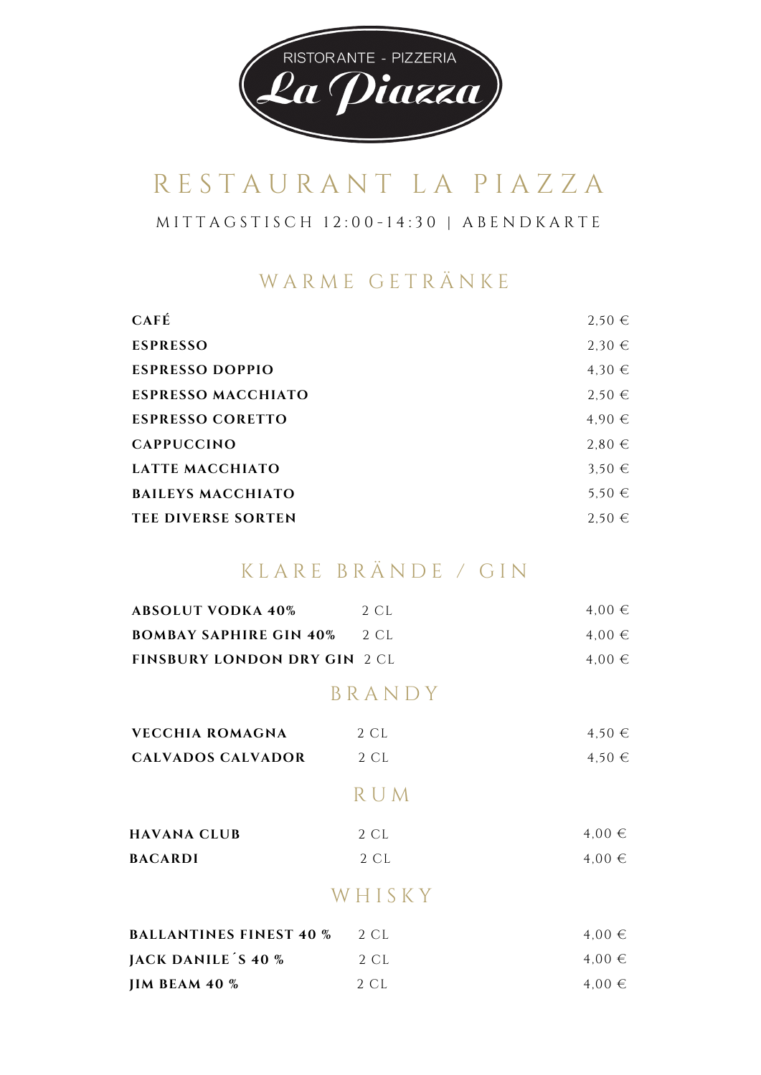

M I T T A G S T I S C H 1 2 : 0 0 - 1 4 : 3 0 | A B E N D K A R T E

#### WARME GETRÄNKE

| <b>CAFÉ</b>               | $2,50 \in$ |
|---------------------------|------------|
| <b>ESPRESSO</b>           | 2,30€      |
| <b>ESPRESSO DOPPIO</b>    | 4,30€      |
| <b>ESPRESSO MACCHIATO</b> | $2.50 \in$ |
| <b>ESPRESSO CORETTO</b>   | 4.90€      |
| <b>CAPPUCCINO</b>         | $2.80 \in$ |
| LATTE MACCHIATO           | 3.50 $\in$ |
| <b>BAILEYS MACCHIATO</b>  | $5,50 \in$ |
| <b>TEE DIVERSE SORTEN</b> | $2.50 \in$ |

#### K L A R E B R Ä N D E / G I N

| <b>ABSOLUT VODKA 40%</b>            | 2 CL       | $4,00 \in$ |
|-------------------------------------|------------|------------|
| <b>BOMBAY SAPHIRE GIN 40%</b>       | 2 CL       | 4,00€      |
| <b>FINSBURY LONDON DRY GIN 2 CL</b> |            | $4,00 \in$ |
|                                     | BRANDY     |            |
| <b>VECCHIA ROMAGNA</b>              | 2 CL       | $4,50 \in$ |
| <b>CALVADOS CALVADOR</b>            | 2 CL       | $4,50 \in$ |
|                                     | <b>RUM</b> |            |
| <b>HAVANA CLUB</b>                  | 2 CL       | $4,00 \in$ |
| <b>BACARDI</b>                      | 2 CL       | $4,00 \in$ |
|                                     | WHISKY     |            |
| <b>BALLANTINES FINEST 40 %</b>      | 2 CL       | $4,00 \in$ |

| $P\Lambda L L \Lambda \Lambda$ |      |            |
|--------------------------------|------|------------|
| JACK DANILE S 40 %             | 2 CL | $4.00 \in$ |
| <b>JIM BEAM 40 %</b>           | 2 CL | $4.00 \in$ |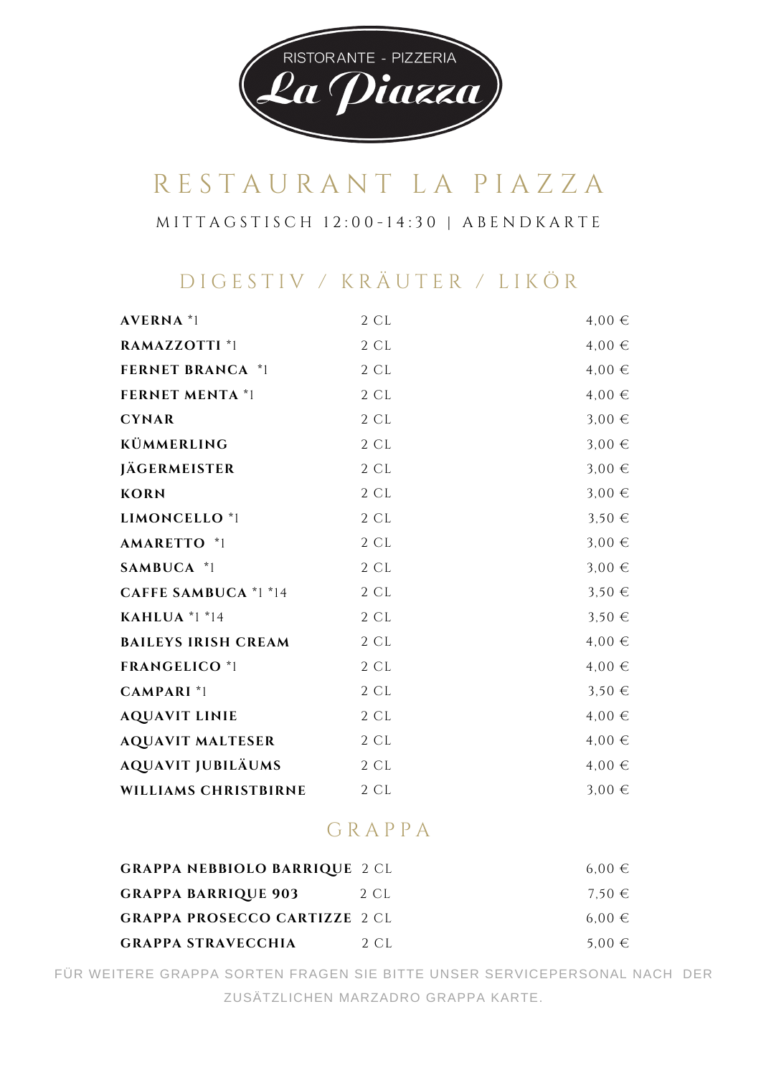

M I T T A G S T I S C H 1 2 : 0 0 - 1 4 : 3 0 | A B E N D K A R T E

### D I G E S T I V / K R Ä U T E R / L I K Ö R

| <b>AVERNA</b> <sup>*</sup> 1 | 2 CL | $4,00 \in$ |
|------------------------------|------|------------|
| RAMAZZOTTI *1                | 2 CL | 4,00€      |
| <b>FERNET BRANCA *1</b>      | 2 CL | 4,00€      |
| <b>FERNET MENTA *1</b>       | 2 CL | 4,00€      |
| <b>CYNAR</b>                 | 2 CL | $3,00 \in$ |
| KÜMMERLING                   | 2 CL | $3,00 \in$ |
| <b>JÄGERMEISTER</b>          | 2 CL | $3,00 \in$ |
| <b>KORN</b>                  | 2 CL | $3,00 \in$ |
| LIMONCELLO <sup>*</sup> 1    | 2 CL | $3,50 \in$ |
| AMARETTO *1                  | 2 CL | $3,00 \in$ |
| SAMBUCA *1                   | 2 CL | $3,00 \in$ |
| <b>CAFFE SAMBUCA</b> *1 *14  | 2 CL | $3,50 \in$ |
| KAHLUA $*1*14$               | 2 CL | $3,50 \in$ |
| <b>BAILEYS IRISH CREAM</b>   | 2 CL | $4,00 \in$ |
| <b>FRANGELICO *1</b>         | 2 CL | 4,00€      |
| <b>CAMPARI</b> <sup>*1</sup> | 2 CL | $3,50 \in$ |
| <b>AQUAVIT LINIE</b>         | 2 CL | 4,00€      |
| <b>AQUAVIT MALTESER</b>      | 2 CL | $4,00 \in$ |
| <b>AQUAVIT JUBILÄUMS</b>     | 2 CL | $4,00 \in$ |
| WILLIAMS CHRISTBIRNE         | 2 CL | $3,00 \in$ |

#### G R A P P A

| <b>GRAPPA NEBBIOLO BARRIQUE 2 CL</b> |       | $6.00 \in$ |
|--------------------------------------|-------|------------|
| <b>GRAPPA BARRIQUE 903</b>           | 2 CL  | 7.50 $\in$ |
| <b>GRAPPA PROSECCO CARTIZZE 2 CL</b> |       | $6.00 \in$ |
| <b>GRAPPA STRAVECCHIA</b>            | 2. CL | $5.00 \in$ |

FÜR WEITERE GRAPPA SORTEN FRAGEN SIE BITTE UNSER SERVICEPERSONAL NACH DER ZUSÄTZLICHEN MARZADRO GRAPPA KARTE.